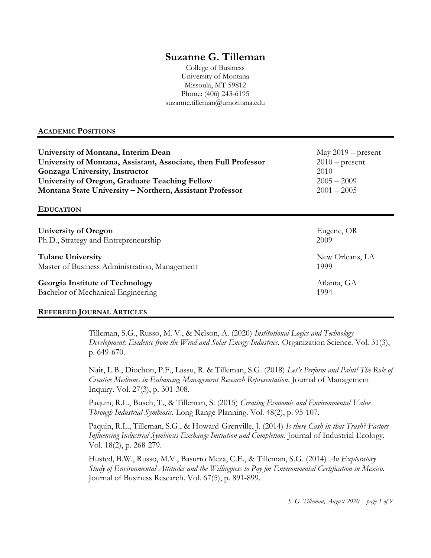# Suzanne G. Tilleman

College of Business University of Montana Missoula, MT 59812 Phone: (406) 243-6195 suzanne.tilleman@umontana.edu

## ACADEMIC POSITIONS

| University of Montana, Interim Dean                              | May $2019$ – present |
|------------------------------------------------------------------|----------------------|
| University of Montana, Assistant, Associate, then Full Professor | $2010$ – present     |
| Gonzaga University, Instructor                                   | 2010                 |
| University of Oregon, Graduate Teaching Fellow                   | $2005 - 2009$        |
| Montana State University - Northern, Assistant Professor         | $2001 - 2005$        |
| <b>EDUCATION</b>                                                 |                      |
| University of Oregon                                             | Eugene, OR           |
| Ph.D., Strategy and Entrepreneurship                             | 2009                 |
| <b>Tulane University</b>                                         | New Orleans, LA      |
| Master of Business Administration, Management                    | 1999                 |
| Georgia Institute of Technology                                  | Atlanta, GA          |
| Bachelor of Mechanical Engineering                               | 1994                 |

## REFEREED JOURNAL ARTICLES

Tilleman, S.G., Russo, M. V., & Nelson, A. (2020) Institutional Logics and Technology Development: Evidence from the Wind and Solar Energy Industries. Organization Science. Vol. 31(3), p. 649-670.

Nair, L.B., Diochon, P.F., Lassu, R. & Tilleman, S.G. (2018) Let's Perform and Paint! The Role of Creative Mediums in Enhancing Management Research Representation. Journal of Management Inquiry. Vol. 27(3), p. 301-308.

Paquin, R.L., Busch, T., & Tilleman, S. (2015) Creating Economic and Environmental Value Through Industrial Symbiosis. Long Range Planning. Vol. 48(2), p. 95-107.

Paquin, R.L., Tilleman, S.G., & Howard-Grenville, J. (2014) Is there Cash in that Trash? Factors Influencing Industrial Symbiosis Exchange Initiation and Completion. Journal of Industrial Ecology. Vol. 18(2), p. 268-279.

Husted, B.W., Russo, M.V., Basurto Meza, C.E., & Tilleman, S.G. (2014) An Exploratory Study of Environmental Attitudes and the Willingness to Pay for Environmental Certification in Mexico. Journal of Business Research. Vol. 67(5), p. 891-899.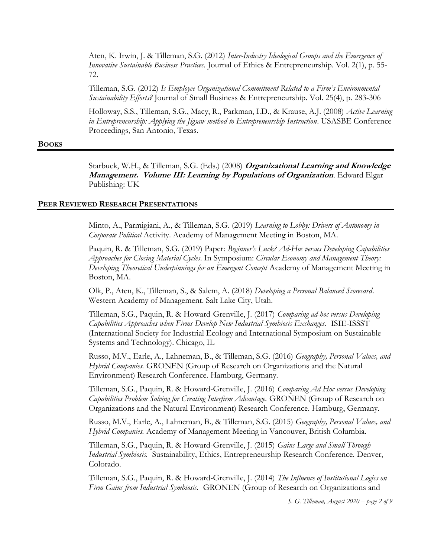Aten, K. Irwin, J. & Tilleman, S.G. (2012) Inter-Industry Ideological Groups and the Emergence of Innovative Sustainable Business Practices. Journal of Ethics & Entrepreneurship. Vol. 2(1), p. 55- 72.

Tilleman, S.G. (2012) Is Employee Organizational Commitment Related to a Firm's Environmental Sustainability Efforts? Journal of Small Business & Entrepreneurship. Vol. 25(4), p. 283-306

Holloway, S.S., Tilleman, S.G., Macy, R., Parkman, I.D., & Krause, A.J. (2008) Active Learning in Entrepreneurship: Applying the Jigsaw method to Entrepreneurship Instruction. USASBE Conference Proceedings, San Antonio, Texas.

#### BOOKS

Starbuck, W.H., & Tilleman, S.G. (Eds.) (2008) *Organizational Learning and Knowledge* Management. Volume III: Learning by Populations of Organization. Edward Elgar Publishing: UK

#### PEER REVIEWED RESEARCH PRESENTATIONS

Minto, A., Parmigiani, A., & Tilleman, S.G. (2019) Learning to Lobby: Drivers of Autonomy in Corporate Political Activity. Academy of Management Meeting in Boston, MA.

Paquin, R. & Tilleman, S.G. (2019) Paper: Beginner's Luck? Ad-Hoc versus Developing Capabilities Approaches for Closing Material Cycles. In Symposium: Circular Economy and Management Theory: Developing Theoretical Underpinnings for an Emergent Concept Academy of Management Meeting in Boston, MA.

Olk, P., Aten, K., Tilleman, S., & Salem, A. (2018) Developing a Personal Balanced Scorecard. Western Academy of Management. Salt Lake City, Utah.

Tilleman, S.G., Paquin, R. & Howard-Grenville, J. (2017) Comparing ad-hoc versus Developing Capabilities Approaches when Firms Develop New Industrial Symbiosis Exchanges. ISIE-ISSST (International Society for Industrial Ecology and International Symposium on Sustainable Systems and Technology). Chicago, IL

Russo, M.V., Earle, A., Lahneman, B., & Tilleman, S.G. (2016) Geography, Personal Values, and Hybrid Companies. GRONEN (Group of Research on Organizations and the Natural Environment) Research Conference. Hamburg, Germany.

Tilleman, S.G., Paquin, R. & Howard-Grenville, J. (2016) Comparing Ad Hoc versus Developing Capabilities Problem Solving for Creating Interfirm Advantage. GRONEN (Group of Research on Organizations and the Natural Environment) Research Conference. Hamburg, Germany.

Russo, M.V., Earle, A., Lahneman, B., & Tilleman, S.G. (2015) Geography, Personal Values, and Hybrid Companies. Academy of Management Meeting in Vancouver, British Columbia.

Tilleman, S.G., Paquin, R. & Howard-Grenville, J. (2015) Gains Large and Small Through Industrial Symbiosis. Sustainability, Ethics, Entrepreneurship Research Conference. Denver, Colorado.

Tilleman, S.G., Paquin, R. & Howard-Grenville, J. (2014) The Influence of Institutional Logics on Firm Gains from Industrial Symbiosis. GRONEN (Group of Research on Organizations and

S. G. Tilleman, August 2020 – page 2 of 9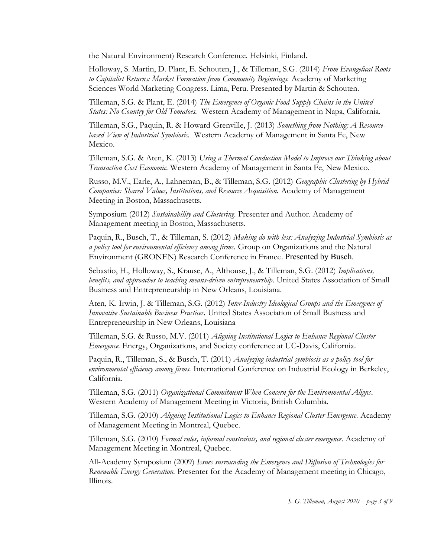the Natural Environment) Research Conference. Helsinki, Finland.

Holloway, S. Martin, D. Plant, E. Schouten, J., & Tilleman, S.G. (2014) From Evangelical Roots to Capitalist Returns: Market Formation from Community Beginnings. Academy of Marketing Sciences World Marketing Congress. Lima, Peru. Presented by Martin & Schouten.

Tilleman, S.G. & Plant, E. (2014) The Emergence of Organic Food Supply Chains in the United States: No Country for Old Tomatoes. Western Academy of Management in Napa, California.

Tilleman, S.G., Paquin, R. & Howard-Grenville, J. (2013) Something from Nothing: A Resourcebased View of Industrial Symbiosis. Western Academy of Management in Santa Fe, New Mexico.

Tilleman, S.G. & Aten, K. (2013) Using a Thermal Conduction Model to Improve our Thinking about Transaction Cost Economic. Western Academy of Management in Santa Fe, New Mexico.

Russo, M.V., Earle, A., Lahneman, B., & Tilleman, S.G. (2012) Geographic Clustering by Hybrid Companies: Shared Values, Institutions, and Resource Acquisition. Academy of Management Meeting in Boston, Massachusetts.

Symposium (2012) Sustainability and Clustering. Presenter and Author. Academy of Management meeting in Boston, Massachusetts.

Paquin, R., Busch, T., & Tilleman, S. (2012) Making do with less: Analyzing Industrial Symbiosis as a policy tool for environmental efficiency among firms. Group on Organizations and the Natural Environment (GRONEN) Research Conference in France. Presented by Busch.

Sebastio, H., Holloway, S., Krause, A., Althouse, J., & Tilleman, S.G. (2012) *Implications*, benefits, and approaches to teaching means-driven entrepreneurship. United States Association of Small Business and Entrepreneurship in New Orleans, Louisiana.

Aten, K. Irwin, J. & Tilleman, S.G. (2012) Inter-Industry Ideological Groups and the Emergence of Innovative Sustainable Business Practices. United States Association of Small Business and Entrepreneurship in New Orleans, Louisiana

Tilleman, S.G. & Russo, M.V. (2011) Aligning Institutional Logics to Enhance Regional Cluster Emergence. Energy, Organizations, and Society conference at UC-Davis, California.

Paquin, R., Tilleman, S., & Busch, T. (2011) Analyzing industrial symbiosis as a policy tool for environmental efficiency among firms. International Conference on Industrial Ecology in Berkeley, California.

Tilleman, S.G. (2011) Organizational Commitment When Concern for the Environmental Aligns. Western Academy of Management Meeting in Victoria, British Columbia.

Tilleman, S.G. (2010) Aligning Institutional Logics to Enhance Regional Cluster Emergence. Academy of Management Meeting in Montreal, Quebec.

Tilleman, S.G. (2010) Formal rules, informal constraints, and regional cluster emergence. Academy of Management Meeting in Montreal, Quebec.

All-Academy Symposium (2009) Issues surrounding the Emergence and Diffusion of Technologies for Renewable Energy Generation. Presenter for the Academy of Management meeting in Chicago, Illinois.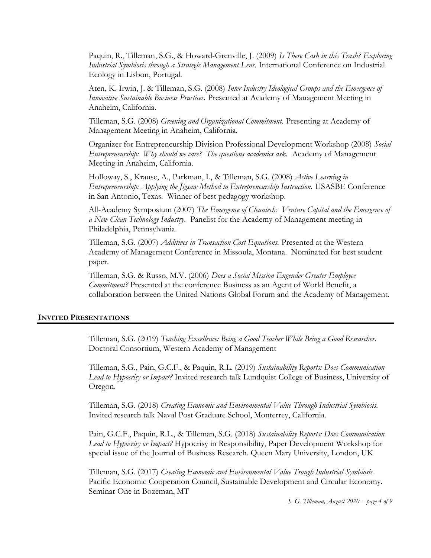Paquin, R., Tilleman, S.G., & Howard-Grenville, J. (2009) Is There Cash in this Trash? Exploring Industrial Symbiosis through a Strategic Management Lens. International Conference on Industrial Ecology in Lisbon, Portugal.

Aten, K. Irwin, J. & Tilleman, S.G. (2008) Inter-Industry Ideological Groups and the Emergence of Innovative Sustainable Business Practices. Presented at Academy of Management Meeting in Anaheim, California.

Tilleman, S.G. (2008) Greening and Organizational Commitment. Presenting at Academy of Management Meeting in Anaheim, California.

Organizer for Entrepreneurship Division Professional Development Workshop (2008) Social Entrepreneurship: Why should we care? The questions academics ask. Academy of Management Meeting in Anaheim, California.

Holloway, S., Krause, A., Parkman, I., & Tilleman, S.G. (2008) Active Learning in Entrepreneurship: Applying the Jigsaw Method to Entrepreneurship Instruction. USASBE Conference in San Antonio, Texas. Winner of best pedagogy workshop.

All-Academy Symposium (2007) The Emergence of Cleantech: Venture Capital and the Emergence of a New Clean Technology Industry. Panelist for the Academy of Management meeting in Philadelphia, Pennsylvania.

Tilleman, S.G. (2007) Additives in Transaction Cost Equations. Presented at the Western Academy of Management Conference in Missoula, Montana. Nominated for best student paper.

Tilleman, S.G. & Russo, M.V. (2006) Does a Social Mission Engender Greater Employee Commitment? Presented at the conference Business as an Agent of World Benefit, a collaboration between the United Nations Global Forum and the Academy of Management.

#### INVITED PRESENTATIONS

Tilleman, S.G. (2019) Teaching Excellence: Being a Good Teacher While Being a Good Researcher. Doctoral Consortium, Western Academy of Management

Tilleman, S.G., Pain, G.C.F., & Paquin, R.L. (2019) Sustainability Reports: Does Communication Lead to Hypocrisy or Impact? Invited research talk Lundquist College of Business, University of Oregon.

Tilleman, S.G. (2018) Creating Economic and Environmental Value Through Industrial Symbiosis. Invited research talk Naval Post Graduate School, Monterrey, California.

Pain, G.C.F., Paquin, R.L., & Tilleman, S.G. (2018) Sustainability Reports: Does Communication Lead to Hypocrisy or Impact? Hypocrisy in Responsibility, Paper Development Workshop for special issue of the Journal of Business Research. Queen Mary University, London, UK

Tilleman, S.G. (2017) Creating Economic and Environmental Value Trough Industrial Symbiosis. Pacific Economic Cooperation Council, Sustainable Development and Circular Economy. Seminar One in Bozeman, MT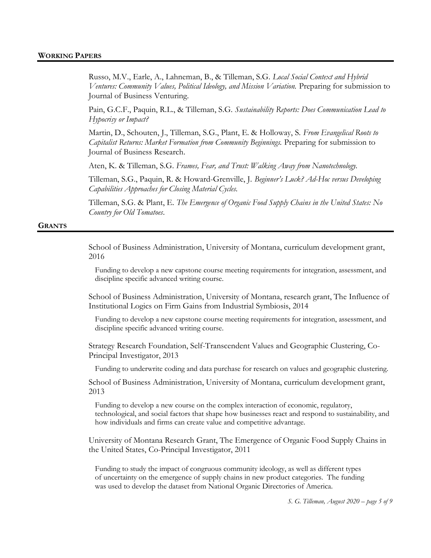Russo, M.V., Earle, A., Lahneman, B., & Tilleman, S.G. Local Social Context and Hybrid Ventures: Community Values, Political Ideology, and Mission Variation. Preparing for submission to Journal of Business Venturing.

Pain, G.C.F., Paquin, R.L., & Tilleman, S.G. Sustainability Reports: Does Communication Lead to Hypocrisy or Impact?

Martin, D., Schouten, J., Tilleman, S.G., Plant, E. & Holloway, S. From Evangelical Roots to Capitalist Returns: Market Formation from Community Beginnings. Preparing for submission to Journal of Business Research.

Aten, K. & Tilleman, S.G. Frames, Fear, and Trust: Walking Away from Nanotechnology.

Tilleman, S.G., Paquin, R. & Howard-Grenville, J. Beginner's Luck? Ad-Hoc versus Developing Capabilities Approaches for Closing Material Cycles.

Tilleman, S.G. & Plant, E. The Emergence of Organic Food Supply Chains in the United States: No Country for Old Tomatoes.

#### **GRANTS**

School of Business Administration, University of Montana, curriculum development grant, 2016

Funding to develop a new capstone course meeting requirements for integration, assessment, and discipline specific advanced writing course.

School of Business Administration, University of Montana, research grant, The Influence of Institutional Logics on Firm Gains from Industrial Symbiosis, 2014

Funding to develop a new capstone course meeting requirements for integration, assessment, and discipline specific advanced writing course.

 Strategy Research Foundation, Self-Transcendent Values and Geographic Clustering, Co-Principal Investigator, 2013

Funding to underwrite coding and data purchase for research on values and geographic clustering.

School of Business Administration, University of Montana, curriculum development grant, 2013

Funding to develop a new course on the complex interaction of economic, regulatory, technological, and social factors that shape how businesses react and respond to sustainability, and how individuals and firms can create value and competitive advantage.

University of Montana Research Grant, The Emergence of Organic Food Supply Chains in the United States, Co-Principal Investigator, 2011

Funding to study the impact of congruous community ideology, as well as different types of uncertainty on the emergence of supply chains in new product categories. The funding was used to develop the dataset from National Organic Directories of America.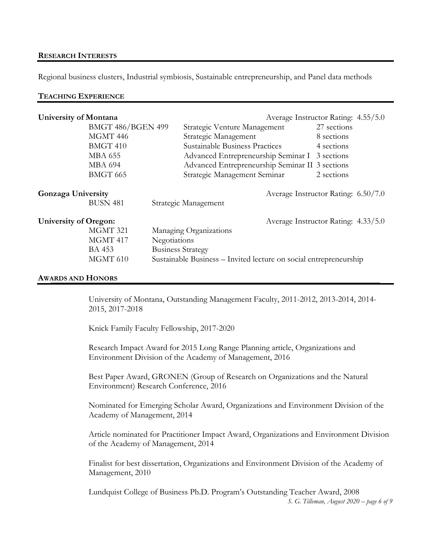## RESEARCH INTERESTS

Regional business clusters, Industrial symbiosis, Sustainable entrepreneurship, and Panel data methods

## TEACHING EXPERIENCE

| University of Montana                                            |                          |                          |                                                                   |  | Average Instructor Rating: 4.55/5.0 |  |  |
|------------------------------------------------------------------|--------------------------|--------------------------|-------------------------------------------------------------------|--|-------------------------------------|--|--|
|                                                                  | <b>BMGT 486/BGEN 499</b> |                          | Strategic Venture Management                                      |  | 27 sections                         |  |  |
|                                                                  | MGMT 446                 |                          | Strategic Management                                              |  | 8 sections                          |  |  |
|                                                                  | BMGT 410                 |                          | <b>Sustainable Business Practices</b>                             |  | 4 sections                          |  |  |
|                                                                  | <b>MBA 655</b>           |                          | Advanced Entrepreneurship Seminar I 3 sections                    |  |                                     |  |  |
|                                                                  | <b>MBA 694</b>           |                          | Advanced Entrepreneurship Seminar II 3 sections                   |  |                                     |  |  |
|                                                                  | BMGT 665                 |                          | Strategic Management Seminar                                      |  | 2 sections                          |  |  |
| <b>Gonzaga University</b><br>Average Instructor Rating: 6.50/7.0 |                          |                          |                                                                   |  |                                     |  |  |
|                                                                  | <b>BUSN 481</b>          |                          | Strategic Management                                              |  |                                     |  |  |
| <b>University of Oregon:</b>                                     |                          |                          |                                                                   |  | Average Instructor Rating: 4.33/5.0 |  |  |
|                                                                  | MGMT 321                 |                          | Managing Organizations                                            |  |                                     |  |  |
|                                                                  | MGMT 417                 | Negotiations             |                                                                   |  |                                     |  |  |
|                                                                  | <b>BA 453</b>            | <b>Business Strategy</b> |                                                                   |  |                                     |  |  |
|                                                                  | MGMT 610                 |                          | Sustainable Business – Invited lecture on social entrepreneurship |  |                                     |  |  |
|                                                                  |                          |                          |                                                                   |  |                                     |  |  |

#### AWARDS AND HONORS

University of Montana, Outstanding Management Faculty, 2011-2012, 2013-2014, 2014- 2015, 2017-2018

Knick Family Faculty Fellowship, 2017-2020

Research Impact Award for 2015 Long Range Planning article, Organizations and Environment Division of the Academy of Management, 2016

Best Paper Award, GRONEN (Group of Research on Organizations and the Natural Environment) Research Conference, 2016

Nominated for Emerging Scholar Award, Organizations and Environment Division of the Academy of Management, 2014

Article nominated for Practitioner Impact Award, Organizations and Environment Division of the Academy of Management, 2014

Finalist for best dissertation, Organizations and Environment Division of the Academy of Management, 2010

S. G. Tilleman, August 2020 – page 6 of 9 Lundquist College of Business Ph.D. Program's Outstanding Teacher Award, 2008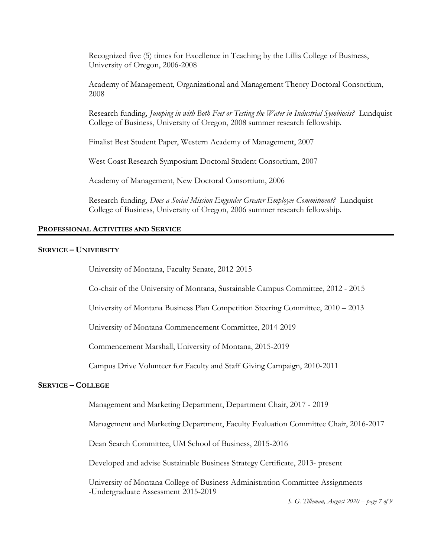Recognized five (5) times for Excellence in Teaching by the Lillis College of Business, University of Oregon, 2006-2008

Academy of Management, Organizational and Management Theory Doctoral Consortium, 2008

Research funding, Jumping in with Both Feet or Testing the Water in Industrial Symbiosis? Lundquist College of Business, University of Oregon, 2008 summer research fellowship.

Finalist Best Student Paper, Western Academy of Management, 2007

West Coast Research Symposium Doctoral Student Consortium, 2007

Academy of Management, New Doctoral Consortium, 2006

Research funding, Does a Social Mission Engender Greater Employee Commitment? Lundquist College of Business, University of Oregon, 2006 summer research fellowship.

#### PROFESSIONAL ACTIVITIES AND SERVICE

#### SERVICE – UNIVERSITY

University of Montana, Faculty Senate, 2012-2015

Co-chair of the University of Montana, Sustainable Campus Committee, 2012 - 2015

University of Montana Business Plan Competition Steering Committee, 2010 – 2013

University of Montana Commencement Committee, 2014-2019

Commencement Marshall, University of Montana, 2015-2019

Campus Drive Volunteer for Faculty and Staff Giving Campaign, 2010-2011

## SERVICE – COLLEGE

Management and Marketing Department, Department Chair, 2017 - 2019

Management and Marketing Department, Faculty Evaluation Committee Chair, 2016-2017

Dean Search Committee, UM School of Business, 2015-2016

Developed and advise Sustainable Business Strategy Certificate, 2013- present

 University of Montana College of Business Administration Committee Assignments -Undergraduate Assessment 2015-2019

S. G. Tilleman, August 2020 – page 7 of 9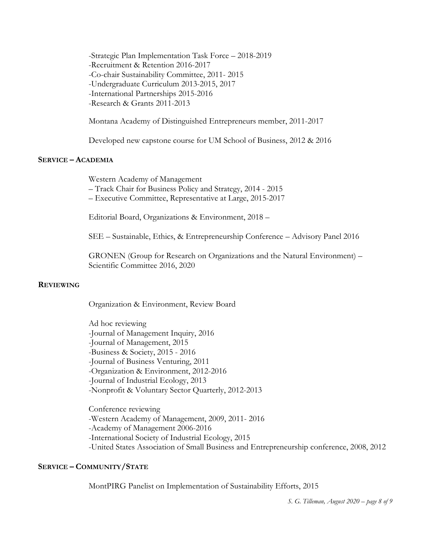-Strategic Plan Implementation Task Force – 2018-2019 -Recruitment & Retention 2016-2017 -Co-chair Sustainability Committee, 2011- 2015 -Undergraduate Curriculum 2013-2015, 2017 -International Partnerships 2015-2016 -Research & Grants 2011-2013

Montana Academy of Distinguished Entrepreneurs member, 2011-2017

Developed new capstone course for UM School of Business, 2012 & 2016

## SERVICE – ACADEMIA

Western Academy of Management – Track Chair for Business Policy and Strategy, 2014 - 2015

– Executive Committee, Representative at Large, 2015-2017

Editorial Board, Organizations & Environment, 2018 –

SEE – Sustainable, Ethics, & Entrepreneurship Conference – Advisory Panel 2016

GRONEN (Group for Research on Organizations and the Natural Environment) – Scientific Committee 2016, 2020

#### **REVIEWING**

Organization & Environment, Review Board

Ad hoc reviewing -Journal of Management Inquiry, 2016 -Journal of Management, 2015 -Business & Society, 2015 - 2016 -Journal of Business Venturing, 2011 -Organization & Environment, 2012-2016 -Journal of Industrial Ecology, 2013 -Nonprofit & Voluntary Sector Quarterly, 2012-2013

Conference reviewing -Western Academy of Management, 2009, 2011- 2016 -Academy of Management 2006-2016 -International Society of Industrial Ecology, 2015 -United States Association of Small Business and Entrepreneurship conference, 2008, 2012

# SERVICE – COMMUNITY/STATE

MontPIRG Panelist on Implementation of Sustainability Efforts, 2015